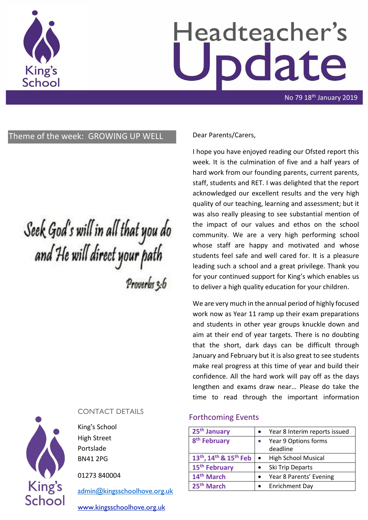

# Headteacher's date

No 79 18<sup>th</sup> January 2019

Theme of the week: GROWING UP WELL Dear Parents/Carers,

Seek God's will in all that you do<br>and He will direct your path Proverbs 3:6



#### CONTACT DETAILS

King's School High Street Portslade BN41 2PG

01273 840004

[admin@kingsschoolhove.org.uk](mailto:admin@kingsschoolhove.org.uk)

[www.kingsschoolhove.org.uk](http://www.kingsschoolhove.org.uk/)

I hope you have enjoyed reading our Ofsted report this week. It is the culmination of five and a half years of hard work from our founding parents, current parents, staff, students and RET. I was delighted that the report acknowledged our excellent results and the very high quality of our teaching, learning and assessment; but it was also really pleasing to see substantial mention of the impact of our values and ethos on the school community. We are a very high performing school whose staff are happy and motivated and whose students feel safe and well cared for. It is a pleasure leading such a school and a great privilege. Thank you for your continued support for King's which enables us to deliver a high quality education for your children.

We are very much in the annual period of highly focused work now as Year 11 ramp up their exam preparations and students in other year groups knuckle down and aim at their end of year targets. There is no doubting that the short, dark days can be difficult through January and February but it is also great to see students make real progress at this time of year and build their confidence. All the hard work will pay off as the days lengthen and exams draw near… Please do take the time to read through the important information

#### Forthcoming Events

| 25 <sup>th</sup> January  |           | Year 8 Interim reports issued |
|---------------------------|-----------|-------------------------------|
| 8 <sup>th</sup> February  |           | Year 9 Options forms          |
|                           |           | deadline                      |
| 13th, 14th & 15th Feb     | $\bullet$ | <b>High School Musical</b>    |
| 15 <sup>th</sup> February |           | Ski Trip Departs              |
| 14 <sup>th</sup> March    |           | Year 8 Parents' Evening       |
| 25 <sup>th</sup> March    |           | <b>Enrichment Day</b>         |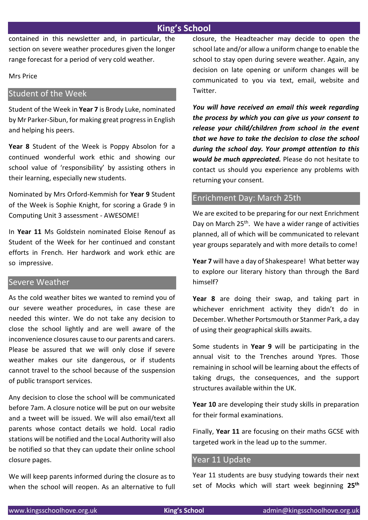# **King's School**

contained in this newsletter and, in particular, the section on severe weather procedures given the longer range forecast for a period of very cold weather.

Mrs Price

#### Student of the Week

Student of the Week in **Year 7** is Brody Luke, nominated by Mr Parker-Sibun, for making great progress in English and helping his peers.

**Year 8** Student of the Week is Poppy Absolon for a continued wonderful work ethic and showing our school value of 'responsibility' by assisting others in their learning, especially new students.

Nominated by Mrs Orford-Kemmish for **Year 9** Student of the Week is Sophie Knight, for scoring a Grade 9 in Computing Unit 3 assessment - AWESOME!

In **Year 11** Ms Goldstein nominated Eloise Renouf as Student of the Week for her continued and constant efforts in French. Her hardwork and work ethic are so impressive.

### Severe Weather

As the cold weather bites we wanted to remind you of our severe weather procedures, in case these are needed this winter. We do not take any decision to close the school lightly and are well aware of the inconvenience closures cause to our parents and carers. Please be assured that we will only close if severe weather makes our site dangerous, or if students cannot travel to the school because of the suspension of public transport services.

Any decision to close the school will be communicated before 7am. A closure notice will be put on our website and a tweet will be issued. We will also email/text all parents whose contact details we hold. Local radio stations will be notified and the Local Authority will also be notified so that they can update their online school closure pages.

We will keep parents informed during the closure as to when the school will reopen. As an alternative to full closure, the Headteacher may decide to open the school late and/or allow a uniform change to enable the school to stay open during severe weather. Again, any decision on late opening or uniform changes will be communicated to you via text, email, website and Twitter.

*You will have received an email this week regarding the process by which you can give us your consent to release your child/children from school in the event that we have to take the decision to close the school during the school day. Your prompt attention to this would be much appreciated.* Please do not hesitate to contact us should you experience any problems with returning your consent.

#### Enrichment Day: March 25th

We are excited to be preparing for our next Enrichment Day on March 25<sup>th</sup>. We have a wider range of activities planned, all of which will be communicated to relevant year groups separately and with more details to come!

**Year 7** will have a day of Shakespeare! What better way to explore our literary history than through the Bard himself?

**Year 8** are doing their swap, and taking part in whichever enrichment activity they didn't do in December. Whether Portsmouth or Stanmer Park, a day of using their geographical skills awaits.

Some students in **Year 9** will be participating in the annual visit to the Trenches around Ypres. Those remaining in school will be learning about the effects of taking drugs, the consequences, and the support structures available within the UK.

**Year 10** are developing their study skills in preparation for their formal examinations.

Finally, **Year 11** are focusing on their maths GCSE with targeted work in the lead up to the summer.

#### Year 11 Update

Year 11 students are busy studying towards their next set of Mocks which will start week beginning **25th**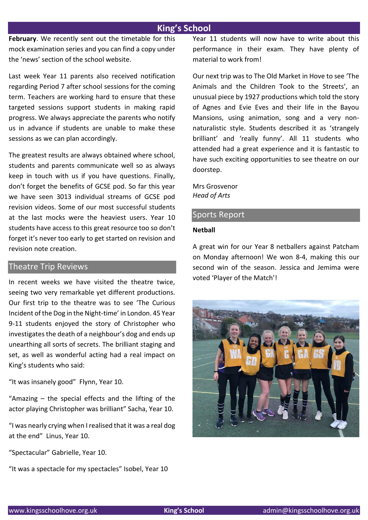# **King's School**

**February**. We recently sent out the timetable for this mock examination series and you can find a copy under the 'news' section of the school website.

Last week Year 11 parents also received notification regarding Period 7 after school sessions for the coming term. Teachers are working hard to ensure that these targeted sessions support students in making rapid progress. We always appreciate the parents who notify us in advance if students are unable to make these sessions as we can plan accordingly.

The greatest results are always obtained where school, students and parents communicate well so as always keep in touch with us if you have questions. Finally, don't forget the benefits of GCSE pod. So far this year we have seen 3013 individual streams of GCSE pod revision videos. Some of our most successful students at the last mocks were the heaviest users. Year 10 students have access to this great resource too so don't forget it's never too early to get started on revision and revision note creation.

#### Theatre Trip Reviews

In recent weeks we have visited the theatre twice, seeing two very remarkable yet different productions. Our first trip to the theatre was to see 'The Curious Incident of the Dog in the Night-time' in London. 45 Year 9-11 students enjoyed the story of Christopher who investigates the death of a neighbour's dog and ends up unearthing all sorts of secrets. The brilliant staging and set, as well as wonderful acting had a real impact on King's students who said:

"It was insanely good" Flynn, Year 10.

"Amazing – the special effects and the lifting of the actor playing Christopher was brilliant" Sacha, Year 10.

"I was nearly crying when I realised that it was a real dog at the end" Linus, Year 10.

"Spectacular" Gabrielle, Year 10.

"It was a spectacle for my spectacles" Isobel, Year 10

Year 11 students will now have to write about this performance in their exam. They have plenty of material to work from!

Our next trip was to The Old Market in Hove to see 'The Animals and the Children Took to the Streets', an unusual piece by 1927 productions which told the story of Agnes and Evie Eves and their life in the Bayou Mansions, using animation, song and a very nonnaturalistic style. Students described it as 'strangely brilliant' and 'really funny'. All 11 students who attended had a great experience and it is fantastic to have such exciting opportunities to see theatre on our doorstep.

Mrs Grosvenor *Head of Arts*

#### Sports Report

#### **Netball**

A great win for our Year 8 netballers against Patcham on Monday afternoon! We won 8-4, making this our second win of the season. Jessica and Jemima were voted 'Player of the Match'!